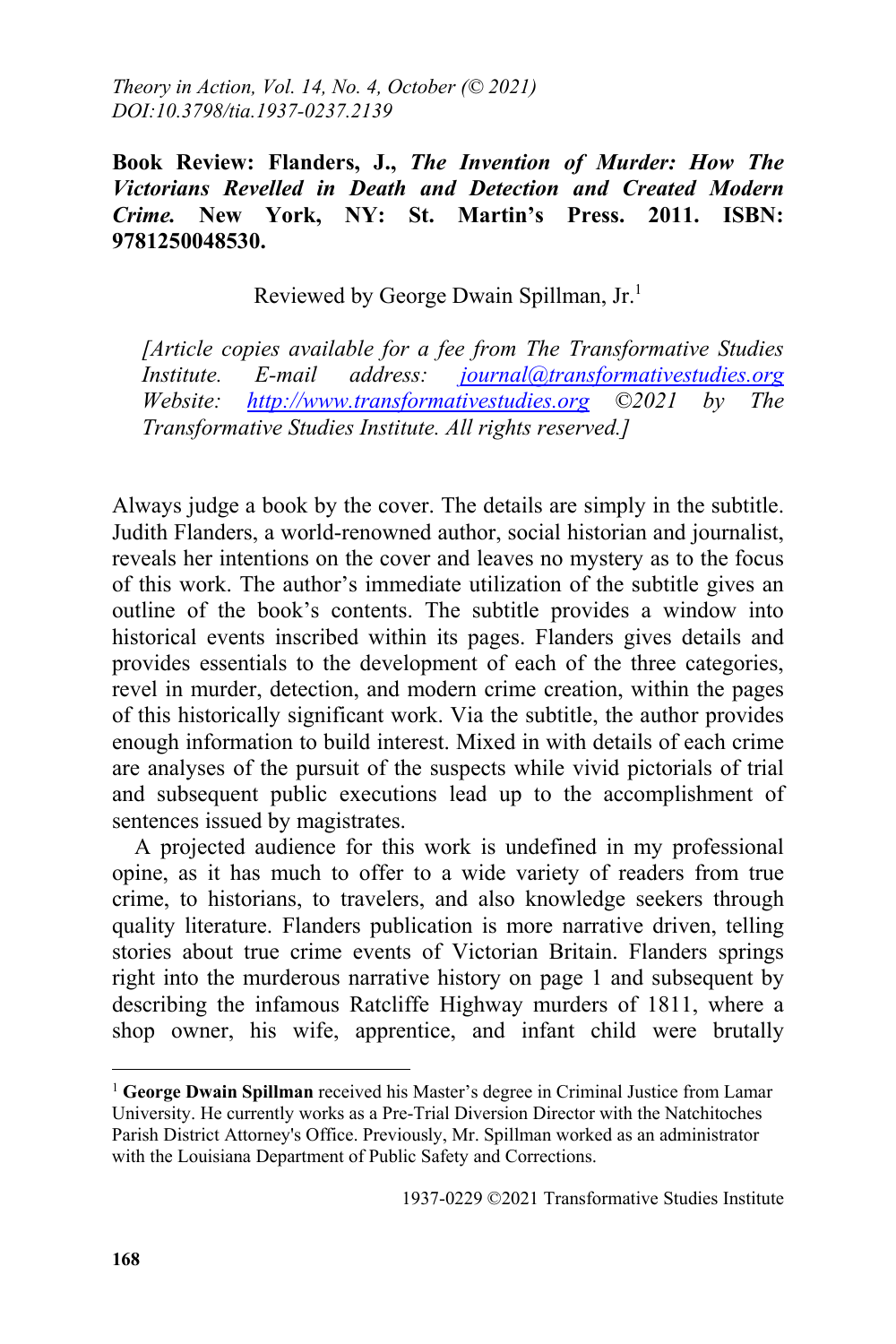**Book Review: Flanders, J.,** *The Invention of Murder: How The Victorians Revelled in Death and Detection and Created Modern Crime.* **New York, NY: St. Martin's Press. 2011. ISBN: 9781250048530.**

Reviewed by George Dwain Spillman, Jr.<sup>1</sup>

*[Article copies available for a fee from The Transformative Studies Institute. E-mail address: journal@transformativestudies.org Website: http://www.transformativestudies.org ©2021 by The Transformative Studies Institute. All rights reserved.]*

Always judge a book by the cover. The details are simply in the subtitle. Judith Flanders, a world-renowned author, social historian and journalist, reveals her intentions on the cover and leaves no mystery as to the focus of this work. The author's immediate utilization of the subtitle gives an outline of the book's contents. The subtitle provides a window into historical events inscribed within its pages. Flanders gives details and provides essentials to the development of each of the three categories, revel in murder, detection, and modern crime creation, within the pages of this historically significant work. Via the subtitle, the author provides enough information to build interest. Mixed in with details of each crime are analyses of the pursuit of the suspects while vivid pictorials of trial and subsequent public executions lead up to the accomplishment of sentences issued by magistrates.

A projected audience for this work is undefined in my professional opine, as it has much to offer to a wide variety of readers from true crime, to historians, to travelers, and also knowledge seekers through quality literature. Flanders publication is more narrative driven, telling stories about true crime events of Victorian Britain. Flanders springs right into the murderous narrative history on page 1 and subsequent by describing the infamous Ratcliffe Highway murders of 1811, where a shop owner, his wife, apprentice, and infant child were brutally

 $\overline{a}$ 

<sup>&</sup>lt;sup>1</sup> George Dwain Spillman received his Master's degree in Criminal Justice from Lamar University. He currently works as a Pre-Trial Diversion Director with the Natchitoches Parish District Attorney's Office. Previously, Mr. Spillman worked as an administrator with the Louisiana Department of Public Safety and Corrections.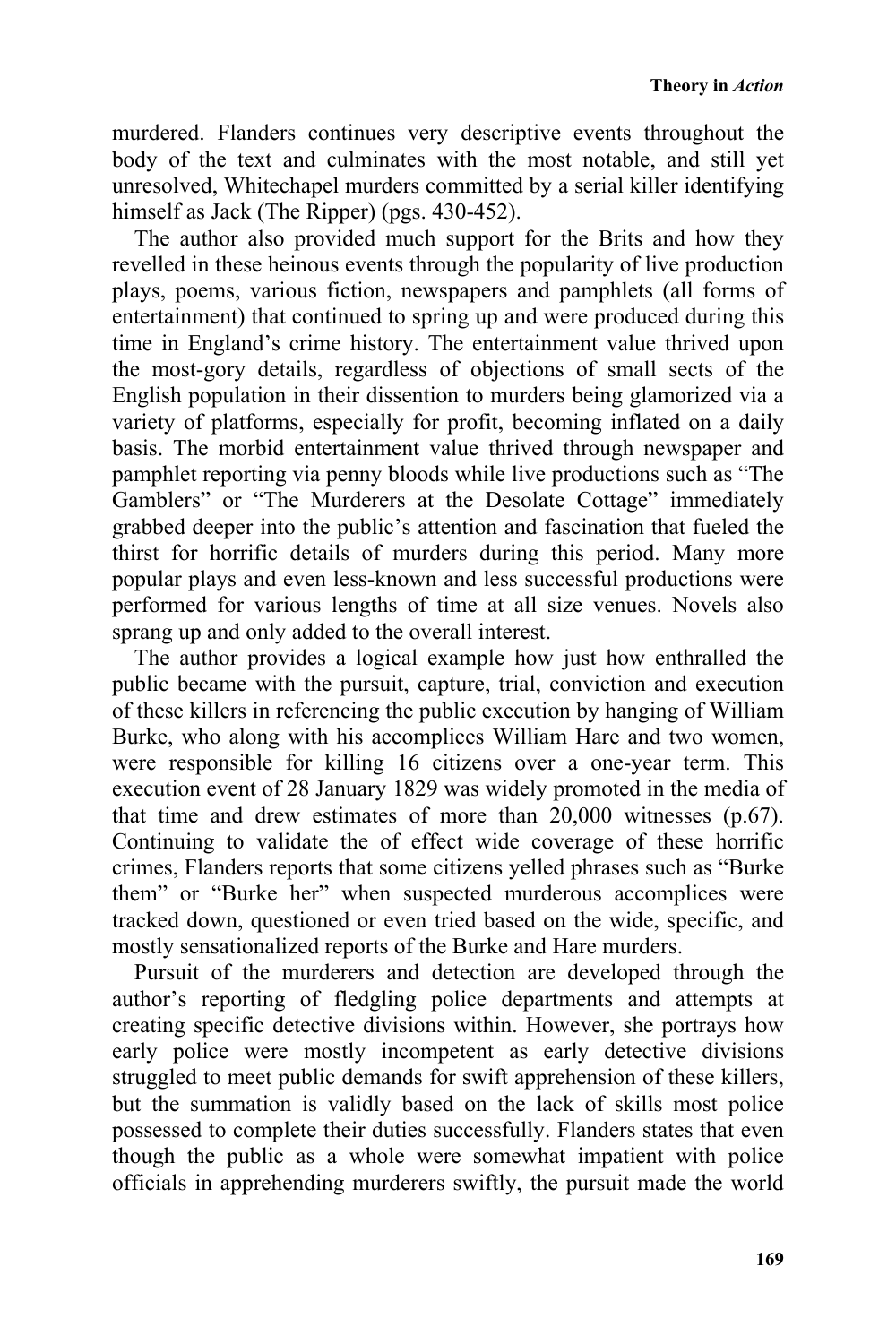**Theory in** *Action*

murdered. Flanders continues very descriptive events throughout the body of the text and culminates with the most notable, and still yet unresolved, Whitechapel murders committed by a serial killer identifying himself as Jack (The Ripper) (pgs. 430-452).

The author also provided much support for the Brits and how they revelled in these heinous events through the popularity of live production plays, poems, various fiction, newspapers and pamphlets (all forms of entertainment) that continued to spring up and were produced during this time in England's crime history. The entertainment value thrived upon the most-gory details, regardless of objections of small sects of the English population in their dissention to murders being glamorized via a variety of platforms, especially for profit, becoming inflated on a daily basis. The morbid entertainment value thrived through newspaper and pamphlet reporting via penny bloods while live productions such as "The Gamblers" or "The Murderers at the Desolate Cottage" immediately grabbed deeper into the public's attention and fascination that fueled the thirst for horrific details of murders during this period. Many more popular plays and even less-known and less successful productions were performed for various lengths of time at all size venues. Novels also sprang up and only added to the overall interest.

The author provides a logical example how just how enthralled the public became with the pursuit, capture, trial, conviction and execution of these killers in referencing the public execution by hanging of William Burke, who along with his accomplices William Hare and two women, were responsible for killing 16 citizens over a one-year term. This execution event of 28 January 1829 was widely promoted in the media of that time and drew estimates of more than 20,000 witnesses (p.67). Continuing to validate the of effect wide coverage of these horrific crimes, Flanders reports that some citizens yelled phrases such as "Burke them" or "Burke her" when suspected murderous accomplices were tracked down, questioned or even tried based on the wide, specific, and mostly sensationalized reports of the Burke and Hare murders.

Pursuit of the murderers and detection are developed through the author's reporting of fledgling police departments and attempts at creating specific detective divisions within. However, she portrays how early police were mostly incompetent as early detective divisions struggled to meet public demands for swift apprehension of these killers, but the summation is validly based on the lack of skills most police possessed to complete their duties successfully. Flanders states that even though the public as a whole were somewhat impatient with police officials in apprehending murderers swiftly, the pursuit made the world